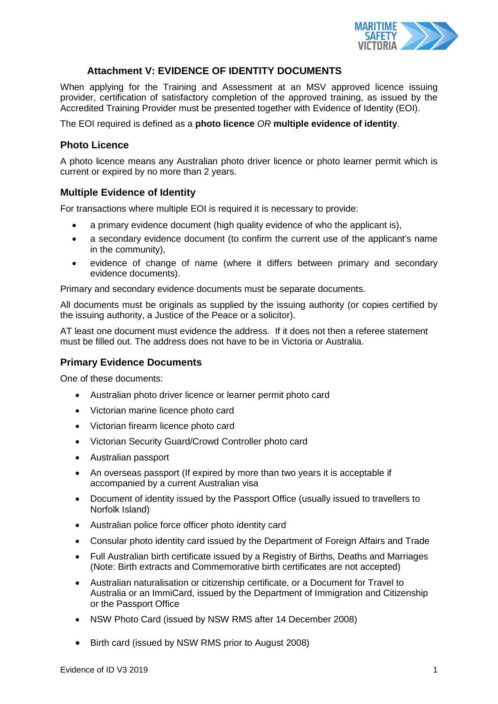

# **Attachment V: EVIDENCE OF IDENTITY DOCUMENTS**

When applying for the Training and Assessment at an MSV approved licence issuing provider, certification of satisfactory completion of the approved training, as issued by the Accredited Training Provider must be presented together with Evidence of Identity (EOI).

The EOI required is defined as a **photo licence** *OR* **multiple evidence of identity**.

## **Photo Licence**

A photo licence means any Australian photo driver licence or photo learner permit which is current or expired by no more than 2 years.

### **Multiple Evidence of Identity**

For transactions where multiple EOI is required it is necessary to provide:

- a primary evidence document (high quality evidence of who the applicant is),
- a secondary evidence document (to confirm the current use of the applicant's name in the community),
- evidence of change of name (where it differs between primary and secondary evidence documents).

Primary and secondary evidence documents must be separate documents.

All documents must be originals as supplied by the issuing authority (or copies certified by the issuing authority, a Justice of the Peace or a solicitor).

AT least one document must evidence the address. If it does not then a referee statement must be filled out. The address does not have to be in Victoria or Australia.

### **Primary Evidence Documents**

One of these documents:

- Australian photo driver licence or learner permit photo card
- Victorian marine licence photo card
- Victorian firearm licence photo card
- Victorian Security Guard/Crowd Controller photo card
- Australian passport
- An overseas passport (If expired by more than two years it is acceptable if accompanied by a current Australian visa
- Document of identity issued by the Passport Office (usually issued to travellers to Norfolk Island)
- Australian police force officer photo identity card
- Consular photo identity card issued by the Department of Foreign Affairs and Trade
- Full Australian birth certificate issued by a Registry of Births, Deaths and Marriages (Note: Birth extracts and Commemorative birth certificates are not accepted)
- Australian naturalisation or citizenship certificate, or a Document for Travel to Australia or an ImmiCard, issued by the Department of Immigration and Citizenship or the Passport Office
- NSW Photo Card (issued by NSW RMS after 14 December 2008)
- Birth card (issued by NSW RMS prior to August 2008)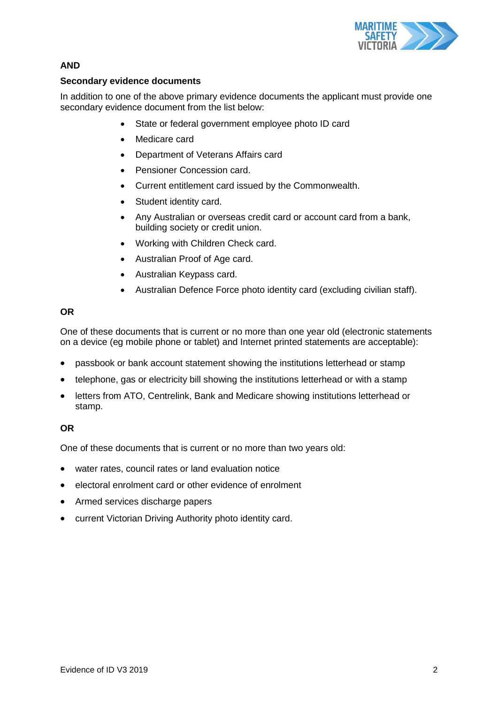

# **AND**

## **Secondary evidence documents**

In addition to one of the above primary evidence documents the applicant must provide one secondary evidence document from the list below:

- State or federal government employee photo ID card
- Medicare card
- Department of Veterans Affairs card
- Pensioner Concession card.
- Current entitlement card issued by the Commonwealth.
- Student identity card.
- Any Australian or overseas credit card or account card from a bank, building society or credit union.
- Working with Children Check card.
- Australian Proof of Age card.
- Australian Keypass card.
- Australian Defence Force photo identity card (excluding civilian staff).

### **OR**

One of these documents that is current or no more than one year old (electronic statements on a device (eg mobile phone or tablet) and Internet printed statements are acceptable):

- passbook or bank account statement showing the institutions letterhead or stamp
- telephone, gas or electricity bill showing the institutions letterhead or with a stamp
- letters from ATO, Centrelink, Bank and Medicare showing institutions letterhead or stamp.

# **OR**

One of these documents that is current or no more than two years old:

- water rates, council rates or land evaluation notice
- electoral enrolment card or other evidence of enrolment
- Armed services discharge papers
- current Victorian Driving Authority photo identity card.